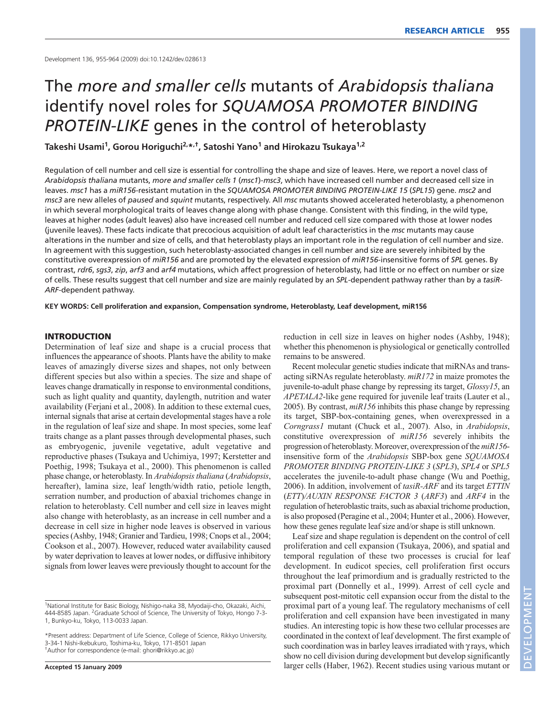Development 136, 955-964 (2009) doi:10.1242/dev.028613

# The *more and smaller cells* mutants of *Arabidopsis thaliana* identify novel roles for *SQUAMOSA PROMOTER BINDING PROTEIN-LIKE* genes in the control of heteroblasty

**Takeshi Usami1, Gorou Horiguchi2,\*,†, Satoshi Yano1 and Hirokazu Tsukaya1,2**

Regulation of cell number and cell size is essential for controlling the shape and size of leaves. Here, we report a novel class of *Arabidopsis thaliana* mutants, *more and smaller cells 1* (*msc1*)-*msc3*, which have increased cell number and decreased cell size in leaves. *msc1* has a *miR156*-resistant mutation in the *SQUAMOSA PROMOTER BINDING PROTEIN-LIKE 15* (*SPL15*) gene. *msc2* and *msc3* are new alleles of *paused* and *squint* mutants, respectively. All *msc* mutants showed accelerated heteroblasty, a phenomenon in which several morphological traits of leaves change along with phase change. Consistent with this finding, in the wild type, leaves at higher nodes (adult leaves) also have increased cell number and reduced cell size compared with those at lower nodes (juvenile leaves). These facts indicate that precocious acquisition of adult leaf characteristics in the *msc* mutants may cause alterations in the number and size of cells, and that heteroblasty plays an important role in the regulation of cell number and size. In agreement with this suggestion, such heteroblasty-associated changes in cell number and size are severely inhibited by the constitutive overexpression of *miR156* and are promoted by the elevated expression of *miR156*-insensitive forms of *SPL* genes. By contrast, *rdr6*, *sgs3*, *zip*, *arf3* and *arf4* mutations, which affect progression of heteroblasty, had little or no effect on number or size of cells. These results suggest that cell number and size are mainly regulated by an *SPL*-dependent pathway rather than by a *tasiR*-*ARF*-dependent pathway.

**KEY WORDS: Cell proliferation and expansion, Compensation syndrome, Heteroblasty, Leaf development, miR156**

# **INTRODUCTION**

Determination of leaf size and shape is a crucial process that influences the appearance of shoots. Plants have the ability to make leaves of amazingly diverse sizes and shapes, not only between different species but also within a species. The size and shape of leaves change dramatically in response to environmental conditions, such as light quality and quantity, daylength, nutrition and water availability (Ferjani et al., 2008). In addition to these external cues, internal signals that arise at certain developmental stages have a role in the regulation of leaf size and shape. In most species, some leaf traits change as a plant passes through developmental phases, such as embryogenic, juvenile vegetative, adult vegetative and reproductive phases (Tsukaya and Uchimiya, 1997; Kerstetter and Poethig, 1998; Tsukaya et al., 2000). This phenomenon is called phase change, or heteroblasty. In *Arabidopsis thaliana* (*Arabidopsis*, hereafter), lamina size, leaf length/width ratio, petiole length, serration number, and production of abaxial trichomes change in relation to heteroblasty. Cell number and cell size in leaves might also change with heteroblasty, as an increase in cell number and a decrease in cell size in higher node leaves is observed in various species (Ashby, 1948; Granier and Tardieu, 1998; Cnops et al., 2004; Cookson et al., 2007). However, reduced water availability caused by water deprivation to leaves at lower nodes, or diffusive inhibitory signals from lower leaves were previously thought to account for the

**Accepted 15 January 2009**

reduction in cell size in leaves on higher nodes (Ashby, 1948); whether this phenomenon is physiological or genetically controlled remains to be answered.

Recent molecular genetic studies indicate that miRNAs and transacting siRNAs regulate heteroblasty. *miR172* in maize promotes the juvenile-to-adult phase change by repressing its target, *Glossy15*, an *APETALA2*-like gene required for juvenile leaf traits (Lauter et al., 2005). By contrast, *miR156* inhibits this phase change by repressing its target, SBP-box-containing genes, when overexpressed in a *Corngrass1* mutant (Chuck et al., 2007). Also, in *Arabidopsis*, constitutive overexpression of *miR156* severely inhibits the progression of heteroblasty. Moreover, overexpression of the *miR156* insensitive form of the *Arabidopsis* SBP-box gene *SQUAMOSA PROMOTER BINDING PROTEIN-LIKE 3* (*SPL3*), *SPL4* or *SPL5* accelerates the juvenile-to-adult phase change (Wu and Poethig, 2006). In addition, involvement of *tasiR-ARF* and its target *ETTIN* (*ETT*)*/AUXIN RESPONSE FACTOR 3* (*ARF3*) and *ARF4* in the regulation of heteroblastic traits, such as abaxial trichome production, is also proposed (Peragine et al., 2004; Hunter et al., 2006). However, how these genes regulate leaf size and/or shape is still unknown.

Leaf size and shape regulation is dependent on the control of cell proliferation and cell expansion (Tsukaya, 2006), and spatial and temporal regulation of these two processes is crucial for leaf development. In eudicot species, cell proliferation first occurs throughout the leaf primordium and is gradually restricted to the proximal part (Donnelly et al., 1999). Arrest of cell cycle and subsequent post-mitotic cell expansion occur from the distal to the proximal part of a young leaf. The regulatory mechanisms of cell proliferation and cell expansion have been investigated in many studies. An interesting topic is how these two cellular processes are coordinated in the context of leaf development. The first example of such coordination was in barley leaves irradiated with γ rays, which show no cell division during development but develop significantly larger cells (Haber, 1962). Recent studies using various mutant or

<sup>&</sup>lt;sup>1</sup>National Institute for Basic Biology, Nishigo-naka 38, Myodaiji-cho, Okazaki, Aichi, 444-8585 Japan. 2Graduate School of Science, The University of Tokyo, Hongo 7-3- 1, Bunkyo-ku, Tokyo, 113-0033 Japan.

<sup>\*</sup>Present address: Department of Life Science, College of Science, Rikkyo University, 3-34-1 Nishi-Ikebukuro, Toshima-ku, Tokyo, 171-8501 Japan †Author for correspondence (e-mail: ghori@rikkyo.ac.jp)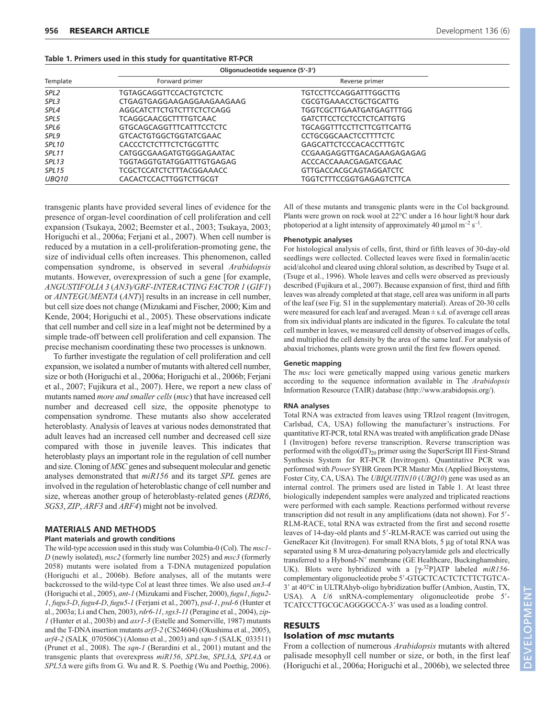| Template          | Oligonucleotide sequence (5'-3') |                                  |  |
|-------------------|----------------------------------|----------------------------------|--|
|                   | Forward primer                   | Reverse primer                   |  |
| SPL <sub>2</sub>  | <b>TGTAGCAGGTTCCACTGTCTCTC</b>   | <b>TGTCCTTCCAGGATTTGGCTTG</b>    |  |
| SPL <sub>3</sub>  | CTGAGTGAGGAAGAGGAAGAAGAAG        | CGCGTGAAACCTGCTGCATTG            |  |
| SPL4              | AGGCATCTTCTGTCTTTCTCTCAGG        | TGGTCGCTTGAATGATGAGTTTGG         |  |
| SPL <sub>5</sub>  | TCAGGCAACGCTTTTGTCAAC            | GATCTTCCTCCTCCTCTCATTGTG         |  |
| SPL <sub>6</sub>  | GTGCAGCAGGTTTCATTTCCTCTC         | <b>TGCAGGTTTCCTTCTTCGTTCATTG</b> |  |
| SPL9              | GTCACTGTGGCTGGTATCGAAC           | <b>CCTGCGGCAACTCCTTTTCTC</b>     |  |
| SPL <sub>10</sub> | CACCCTCTCTTTCTCTGCGTTTC          | <b>GAGCATTCTCCCACACCTTTGTC</b>   |  |
| <b>SPL11</b>      | CATGGCGAAGATGTGGGAGAATAC         | CCGAAGAGGTTGACAGAAGAGAGAG        |  |
| <b>SPL13</b>      | TGGTAGGTGTATGGATTTGTGAGAG        | ACCCACCAAACGAGATCGAAC            |  |
| <b>SPL15</b>      | <b>TCGCTCCATCTCTTTACGGAAACC</b>  | <b>GTTGACCACGCAGTAGGATCTC</b>    |  |
| UBQ10             | CACACTCCACTTGGTCTTGCGT           | TGGTCTTTCCGGTGAGAGTCTTCA         |  |

#### **Table 1. Primers used in this study for quantitative RT-PCR**

transgenic plants have provided several lines of evidence for the presence of organ-level coordination of cell proliferation and cell expansion (Tsukaya, 2002; Beemster et al., 2003; Tsukaya, 2003; Horiguchi et al., 2006a; Ferjani et al., 2007). When cell number is reduced by a mutation in a cell-proliferation-promoting gene, the size of individual cells often increases. This phenomenon, called compensation syndrome, is observed in several *Arabidopsis* mutants. However, overexpression of such a gene [for example, *ANGUSTIFOLIA 3* (*AN3*)*/GRF-INTERACTING FACTOR 1* (*GIF1*) or *AINTEGUMENTA* (*ANT*)] results in an increase in cell number, but cell size does not change (Mizukami and Fischer, 2000; Kim and Kende, 2004; Horiguchi et al., 2005). These observations indicate that cell number and cell size in a leaf might not be determined by a simple trade-off between cell proliferation and cell expansion. The precise mechanism coordinating these two processes is unknown.

To further investigate the regulation of cell proliferation and cell expansion, we isolated a number of mutants with altered cell number, size or both (Horiguchi et al., 2006a; Horiguchi et al., 2006b; Ferjani et al., 2007; Fujikura et al., 2007). Here, we report a new class of mutants named *more and smaller cells*(*msc*) that have increased cell number and decreased cell size, the opposite phenotype to compensation syndrome. These mutants also show accelerated heteroblasty. Analysis of leaves at various nodes demonstrated that adult leaves had an increased cell number and decreased cell size compared with those in juvenile leaves. This indicates that heteroblasty plays an important role in the regulation of cell number and size. Cloning of *MSC* genes and subsequent molecular and genetic analyses demonstrated that *miR156* and its target *SPL* genes are involved in the regulation of heteroblastic change of cell number and size, whereas another group of heteroblasty-related genes (*RDR6*, *SGS3*, *ZIP*, *ARF3* and *ARF4*) might not be involved.

#### **MATERIALS AND METHODS**

#### **Plant materials and growth conditions**

The wild-type accession used in this study was Columbia-0 (Col). The *msc1- D* (newly isolated), *msc2* (formerly line number 2025) and *msc3* (formerly 2058) mutants were isolated from a T-DNA mutagenized population (Horiguchi et al., 2006b). Before analyses, all of the mutants were backcrossed to the wild-type Col at least three times. We also used *an3-4* (Horiguchi et al., 2005), *ant-1* (Mizukami and Fischer, 2000), *fugu1*, *fugu2- 1*, *fugu3-D*, *fugu4-D*, *fugu5-1* (Ferjani et al., 2007), *psd-1*, *psd-6* (Hunter et al., 2003a; Li and Chen, 2003), *rdr6-11*, *sgs3-11* (Peragine et al., 2004), *zip-1* (Hunter et al., 2003b) and *axr1-3* (Estelle and Somerville, 1987) mutants and the T-DNA insertion mutants *arf3-2* (CS24604) (Okushima et al., 2005), *arf4-2* (SALK\_070506C) (Alonso et al., 2003) and *sqn-5* (SALK\_033511) (Prunet et al., 2008). The *sqn-1* (Berardini et al., 2001) mutant and the transgenic plants that overexpress *miR156*, *SPL3m*, *SPL3*Δ, *SPL4*<sup>Δ</sup> or *SPL5*<sup>Δ</sup> were gifts from G. Wu and R. S. Poethig (Wu and Poethig, 2006).

All of these mutants and transgenic plants were in the Col background. Plants were grown on rock wool at 22°C under a 16 hour light/8 hour dark photoperiod at a light intensity of approximately 40  $\mu$ mol m<sup>-2</sup> s<sup>-1</sup>.

#### **Phenotypic analyses**

For histological analysis of cells, first, third or fifth leaves of 30-day-old seedlings were collected. Collected leaves were fixed in formalin/acetic acid/alcohol and cleared using chloral solution, as described by Tsuge et al. (Tsuge et al., 1996). Whole leaves and cells were observed as previously described (Fujikura et al., 2007). Because expansion of first, third and fifth leaves was already completed at that stage, cell area was uniform in all parts of the leaf (see Fig. S1 in the supplementary material). Areas of 20-30 cells were measured for each leaf and averaged. Mean ± s.d. of average cell areas from six individual plants are indicated in the figures. To calculate the total cell number in leaves, we measured cell density of observed images of cells, and multiplied the cell density by the area of the same leaf. For analysis of abaxial trichomes, plants were grown until the first few flowers opened.

#### **Genetic mapping**

The *msc* loci were genetically mapped using various genetic markers according to the sequence information available in The *Arabidopsis* Information Resource (TAIR) database (http://www.arabidopsis.org/).

#### **RNA analyses**

Total RNA was extracted from leaves using TRIzol reagent (Invitrogen, Carlsbad, CA, USA) following the manufacturer's instructions. For quantitative RT-PCR, total RNA was treated with amplification grade DNase I (Invitrogen) before reverse transcription. Reverse transcription was performed with the oligo $dT)_{20}$  primer using the SuperScript III First-Strand Synthesis System for RT-PCR (Invitrogen). Quantitative PCR was performed with *Power* SYBR Green PCR Master Mix (Applied Biosystems, Foster City, CA, USA). The *UBIQUITIN10* (*UBQ10*) gene was used as an internal control. The primers used are listed in Table 1. At least three biologically independent samples were analyzed and triplicated reactions were performed with each sample. Reactions performed without reverse transcription did not result in any amplifications (data not shown). For 5-- RLM-RACE, total RNA was extracted from the first and second rosette leaves of 14-day-old plants and 5'-RLM-RACE was carried out using the GeneRacer Kit (Invitrogen). For small RNA blots, 5 μg of total RNA was separated using 8 M urea-denaturing polyacrylamide gels and electrically transferred to a Hybond- $N^+$  membrane (GE Healthcare, Buckinghamshire, UK). Blots were hybridized with a [ $\gamma$ -<sup>32</sup>P]ATP labeled miR156complementary oligonucleotide probe 5'-GTGCTCACTCTCTTCTGTCA-3' at 40°C in ULTRAhyb-oligo hybridization buffer (Ambion, Austin, TX, USA). A *U6* snRNA-complementary oligonucleotide probe 5'-TCATCCTTGCGCAGGGGCCA-3' was used as a loading control.

# **RESULTS Isolation of** *msc* **mutants**

From a collection of numerous *Arabidopsis* mutants with altered palisade mesophyll cell number or size, or both, in the first leaf (Horiguchi et al., 2006a; Horiguchi et al., 2006b), we selected three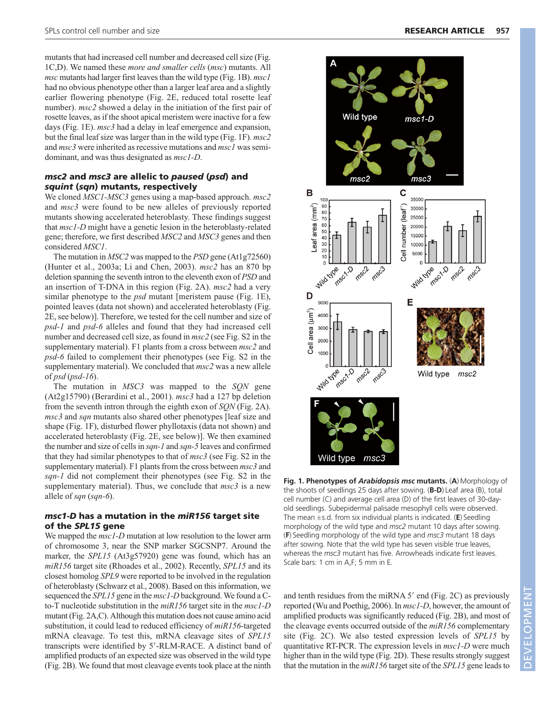mutants that had increased cell number and decreased cell size (Fig. 1C,D). We named these *more and smaller cells* (*msc*) mutants. All *msc* mutants had larger first leaves than the wild type (Fig. 1B). *msc1* had no obvious phenotype other than a larger leaf area and a slightly earlier flowering phenotype (Fig. 2E, reduced total rosette leaf number). *msc2* showed a delay in the initiation of the first pair of rosette leaves, as if the shoot apical meristem were inactive for a few days (Fig. 1E). *msc3* had a delay in leaf emergence and expansion, but the final leaf size was larger than in the wild type (Fig. 1F). *msc2* and *msc3* were inherited as recessive mutations and *msc1* was semidominant, and was thus designated as *msc1-D*.

# *msc2* **and** *msc3* **are allelic to** *paused* **(***psd***) and** *squint* **(***sqn***) mutants, respectively**

We cloned *MSC1-MSC3* genes using a map-based approach. *msc2* and *msc3* were found to be new alleles of previously reported mutants showing accelerated heteroblasty. These findings suggest that *msc1-D* might have a genetic lesion in the heteroblasty-related gene; therefore, we first described *MSC2* and *MSC3* genes and then considered *MSC1*.

The mutation in *MSC2* was mapped to the *PSD* gene (At1g72560) (Hunter et al., 2003a; Li and Chen, 2003). *msc2* has an 870 bp deletion spanning the seventh intron to the eleventh exon of *PSD* and an insertion of T-DNA in this region (Fig. 2A). *msc2* had a very similar phenotype to the *psd* mutant [meristem pause (Fig. 1E), pointed leaves (data not shown) and accelerated heteroblasty (Fig. 2E, see below)]. Therefore, we tested for the cell number and size of *psd-1* and *psd-6* alleles and found that they had increased cell number and decreased cell size, as found in *msc2* (see Fig. S2 in the supplementary material). F1 plants from a cross between *msc2* and *psd-6* failed to complement their phenotypes (see Fig. S2 in the supplementary material). We concluded that *msc2* was a new allele of *psd* (*psd-16*).

The mutation in *MSC3* was mapped to the *SQN* gene (At2g15790) (Berardini et al., 2001). *msc3* had a 127 bp deletion from the seventh intron through the eighth exon of *SQN* (Fig. 2A). *msc3* and *sqn* mutants also shared other phenotypes [leaf size and shape (Fig. 1F), disturbed flower phyllotaxis (data not shown) and accelerated heteroblasty (Fig. 2E, see below)]. We then examined the number and size of cells in *sqn-1* and *sqn-5* leaves and confirmed that they had similar phenotypes to that of *msc3* (see Fig. S2 in the supplementary material). F1 plants from the cross between *msc3* and *sqn-1* did not complement their phenotypes (see Fig. S2 in the supplementary material). Thus, we conclude that *msc3* is a new allele of *sqn* (*sqn-6*).

# *msc1-D* **has a mutation in the** *miR156* **target site of the** *SPL15* **gene**

We mapped the *msc1-D* mutation at low resolution to the lower arm of chromosome 3, near the SNP marker SGCSNP7. Around the marker, the *SPL15* (At3g57920) gene was found, which has an *miR156* target site (Rhoades et al., 2002). Recently, *SPL15* and its closest homolog *SPL9* were reported to be involved in the regulation of heteroblasty (Schwarz et al., 2008). Based on this information, we sequenced the *SPL15* gene in the *msc1-D* background. We found a Cto-T nucleotide substitution in the *miR156* target site in the *msc1-D* mutant (Fig. 2A,C). Although this mutation does not cause amino acid substitution, it could lead to reduced efficiency of *miR156*-targeted mRNA cleavage. To test this, mRNA cleavage sites of *SPL15* transcripts were identified by 5'-RLM-RACE. A distinct band of amplified products of an expected size was observed in the wild type (Fig. 2B). We found that most cleavage events took place at the ninth



**Fig. 1. Phenotypes of** *Arabidopsis msc* **mutants.** (**A**) Morphology of the shoots of seedlings 25 days after sowing. (**B-D**) Leaf area (B), total cell number (C) and average cell area (D) of the first leaves of 30-dayold seedlings. Subepidermal palisade mesophyll cells were observed. The mean ±s.d. from six individual plants is indicated. (**E**) Seedling morphology of the wild type and *msc2* mutant 10 days after sowing. (**F**) Seedling morphology of the wild type and *msc3* mutant 18 days after sowing. Note that the wild type has seven visible true leaves, whereas the *msc3* mutant has five. Arrowheads indicate first leaves. Scale bars: 1 cm in A,F; 5 mm in E.

and tenth residues from the miRNA 5' end (Fig. 2C) as previously reported (Wu and Poethig, 2006). In *msc1-D*, however, the amount of amplified products was significantly reduced (Fig. 2B), and most of the cleavage events occurred outside of the *miR156* complementary site (Fig. 2C). We also tested expression levels of *SPL15* by quantitative RT-PCR. The expression levels in *msc1-D* were much higher than in the wild type (Fig. 2D). These results strongly suggest that the mutation in the *miR156* target site of the *SPL15* gene leads to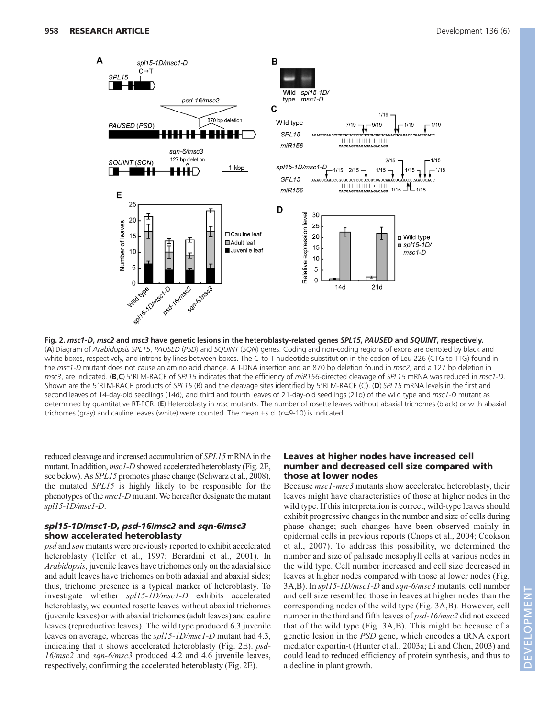

**Fig. 2.** *msc1-D***,** *msc2* **and** *msc3* **have genetic lesions in the heteroblasty-related genes** *SPL15***,** *PAUSED* **and** *SQUINT***, respectively.** (**A**) Diagram of *Arabidopsis SPL15*, *PAUSED* (*PSD*) and *SQUINT* (*SQN*) genes. Coding and non-coding regions of exons are denoted by black and white boxes, respectively, and introns by lines between boxes. The C-to-T nucleotide substitution in the codon of Leu 226 (CTG to TTG) found in the *msc1-D* mutant does not cause an amino acid change. A T-DNA insertion and an 870 bp deletion found in *msc2*, and a 127 bp deletion in *msc3*, are indicated. (**B**,**C**) 5-RLM-RACE of *SPL15* indicates that the efficiency of *miR156*-directed cleavage of *SPL15* mRNA was reduced in *msc1-D*. Shown are the 5'RLM-RACE products of SPL15 (B) and the cleavage sites identified by 5'RLM-RACE (C). (D) SPL15 mRNA levels in the first and second leaves of 14-day-old seedlings (14d), and third and fourth leaves of 21-day-old seedlings (21d) of the wild type and *msc1-D* mutant as determined by quantitative RT-PCR. (**E**) Heteroblasty in *msc* mutants. The number of rosette leaves without abaxial trichomes (black) or with abaxial trichomes (gray) and cauline leaves (white) were counted. The mean  $\pm$ s.d. (*n*=9-10) is indicated.

reduced cleavage and increased accumulation of *SPL15* mRNA in the mutant. In addition, *msc1-D* showed accelerated heteroblasty (Fig. 2E, see below). As *SPL15* promotes phase change (Schwarz et al., 2008), the mutated *SPL15* is highly likely to be responsible for the phenotypes of the *msc1-D* mutant. We hereafter designate the mutant *spl15-1D/msc1-D*.

#### *spl15-1D/msc1-D***,** *psd-16/msc2* **and** *sqn-6/msc3* **show accelerated heteroblasty**

*psd* and *sqn* mutants were previously reported to exhibit accelerated heteroblasty (Telfer et al., 1997; Berardini et al., 2001). In *Arabidopsis*, juvenile leaves have trichomes only on the adaxial side and adult leaves have trichomes on both adaxial and abaxial sides; thus, trichome presence is a typical marker of heteroblasty. To investigate whether *spl15-1D/msc1-D* exhibits accelerated heteroblasty, we counted rosette leaves without abaxial trichomes (juvenile leaves) or with abaxial trichomes (adult leaves) and cauline leaves (reproductive leaves). The wild type produced 6.3 juvenile leaves on average, whereas the *spl15-1D/msc1-D* mutant had 4.3, indicating that it shows accelerated heteroblasty (Fig. 2E). *psd-16/msc2* and *sqn-6/msc3* produced 4.2 and 4.6 juvenile leaves, respectively, confirming the accelerated heteroblasty (Fig. 2E).

# **Leaves at higher nodes have increased cell number and decreased cell size compared with those at lower nodes**

Because *msc1-msc3* mutants show accelerated heteroblasty, their leaves might have characteristics of those at higher nodes in the wild type. If this interpretation is correct, wild-type leaves should exhibit progressive changes in the number and size of cells during phase change; such changes have been observed mainly in epidermal cells in previous reports (Cnops et al., 2004; Cookson et al., 2007). To address this possibility, we determined the number and size of palisade mesophyll cells at various nodes in the wild type. Cell number increased and cell size decreased in leaves at higher nodes compared with those at lower nodes (Fig. 3A,B). In *spl15-1D/msc1-D* and *sqn-6/msc3* mutants, cell number and cell size resembled those in leaves at higher nodes than the corresponding nodes of the wild type (Fig. 3A,B)*.* However, cell number in the third and fifth leaves of *psd-16/msc2* did not exceed that of the wild type (Fig. 3A,B). This might be because of a genetic lesion in the *PSD* gene, which encodes a tRNA export mediator exportin-t (Hunter et al., 2003a; Li and Chen, 2003) and could lead to reduced efficiency of protein synthesis, and thus to a decline in plant growth.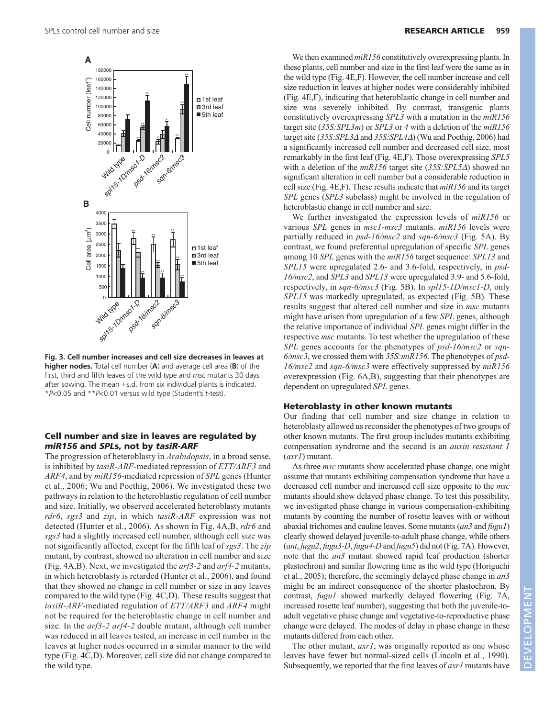

**Fig. 3. Cell number increases and cell size decreases in leaves at higher nodes.** Total cell number (**A**) and average cell area (**B**) of the first, third and fifth leaves of the wild type and *msc* mutants 30 days after sowing. The mean  $\pm$ s.d. from six individual plants is indicated. \**P*<0.05 and \*\**P*<0.01 versus wild type (Student's *t*-test).

# **Cell number and size in leaves are regulated by** *miR156* **and** *SPL***s, not by** *tasiR-ARF*

The progression of heteroblasty in *Arabidopsis*, in a broad sense, is inhibited by *tasiR-ARF*-mediated repression of *ETT/ARF3* and *ARF4*, and by *miR156*-mediated repression of *SPL* genes (Hunter et al., 2006; Wu and Poethig, 2006). We investigated these two pathways in relation to the heteroblastic regulation of cell number and size. Initially, we observed accelerated heteroblasty mutants *rdr6*, *sgs3* and *zip*, in which *tasiR-ARF* expression was not detected (Hunter et al., 2006). As shown in Fig. 4A,B, *rdr6* and *sgs3* had a slightly increased cell number, although cell size was not significantly affected, except for the fifth leaf of *sgs3*. The *zip* mutant, by contrast, showed no alteration in cell number and size (Fig. 4A,B). Next, we investigated the *arf3-2* and *arf4-2* mutants, in which heteroblasty is retarded (Hunter et al., 2006), and found that they showed no change in cell number or size in any leaves compared to the wild type (Fig. 4C,D). These results suggest that *tasiR-ARF*-mediated regulation of *ETT/ARF3* and *ARF4* might not be required for the heteroblastic change in cell number and size. In the *arf3-2 arf4-2* double mutant, although cell number was reduced in all leaves tested, an increase in cell number in the leaves at higher nodes occurred in a similar manner to the wild type (Fig. 4C,D). Moreover, cell size did not change compared to the wild type.

We then examined  $mR156$  constitutively overexpressing plants. In these plants, cell number and size in the first leaf were the same as in the wild type (Fig. 4E,F). However, the cell number increase and cell size reduction in leaves at higher nodes were considerably inhibited (Fig. 4E,F), indicating that heteroblastic change in cell number and size was severely inhibited. By contrast, transgenic plants constitutively overexpressing *SPL3* with a mutation in the *miR156* target site (*35S:SPL3m*) or *SPL3* or *4* with a deletion of the *miR156* target site (*35S:SPL3*<sup>Δ</sup> and *35S:SPL4*Δ) (Wu and Poethig, 2006) had a significantly increased cell number and decreased cell size, most remarkably in the first leaf (Fig. 4E,F). Those overexpressing *SPL5* with a deletion of the *miR156* target site (*35S:SPL5*Δ) showed no significant alteration in cell number but a considerable reduction in cell size (Fig. 4E,F). These results indicate that *miR156* and its target *SPL* genes (*SPL3* subclass) might be involved in the regulation of heteroblastic change in cell number and size.

We further investigated the expression levels of *miR156* or various *SPL* genes in *msc1*-*msc3* mutants. *miR156* levels were partially reduced in *psd-16/msc2* and *sqn-6/msc3* (Fig. 5A). By contrast, we found preferential upregulation of specific *SPL* genes among 10 *SPL* genes with the *miR156* target sequence: *SPL13* and *SPL15* were upregulated 2.6- and 3.6-fold, respectively, in *psd-16/msc2*, and *SPL3* and *SPL13* were upregulated 3.9- and 5.6-fold, respectively, in *sqn-6/msc3* (Fig. 5B). In *spl15-1D/msc1-D*, only *SPL15* was markedly upregulated, as expected (Fig. 5B). These results suggest that altered cell number and size in *msc* mutants might have arisen from upregulation of a few *SPL* genes, although the relative importance of individual *SPL* genes might differ in the respective *msc* mutants. To test whether the upregulation of these *SPL* genes accounts for the phenotypes of *psd-16/msc2* or *sqn-6/msc3*, we crossed them with *35S:miR156*. The phenotypes of *psd-16/msc2* and *sqn-6/msc3* were effectively suppressed by *miR156* overexpression (Fig. 6A,B), suggesting that their phenotypes are dependent on upregulated *SPL* genes.

# **Heteroblasty in other known mutants**

Our finding that cell number and size change in relation to heteroblasty allowed us reconsider the phenotypes of two groups of other known mutants. The first group includes mutants exhibiting compensation syndrome and the second is an *auxin resistant 1* (*axr1*) mutant.

As three *msc* mutants show accelerated phase change, one might assume that mutants exhibiting compensation syndrome that have a decreased cell number and increased cell size opposite to the *msc* mutants should show delayed phase change. To test this possibility, we investigated phase change in various compensation-exhibiting mutants by counting the number of rosette leaves with or without abaxial trichomes and cauline leaves. Some mutants (*an3* and *fugu1*) clearly showed delayed juvenile-to-adult phase change, while others (*ant*, *fugu2*, *fugu3-D*, *fugu4-D* and *fugu5*) did not (Fig. 7A). However, note that the *an3* mutant showed rapid leaf production (shorter plastochron) and similar flowering time as the wild type (Horiguchi et al., 2005); therefore, the seemingly delayed phase change in *an3* might be an indirect consequence of the shorter plastochron. By contrast, *fugu1* showed markedly delayed flowering (Fig. 7A, increased rosette leaf number), suggesting that both the juvenile-toadult vegetative phase change and vegetative-to-reproductive phase change were delayed. The modes of delay in phase change in these mutants differed from each other.

The other mutant, *axr1*, was originally reported as one whose leaves have fewer but normal-sized cells (Lincoln et al., 1990). Subsequently, we reported that the first leaves of *axr1* mutants have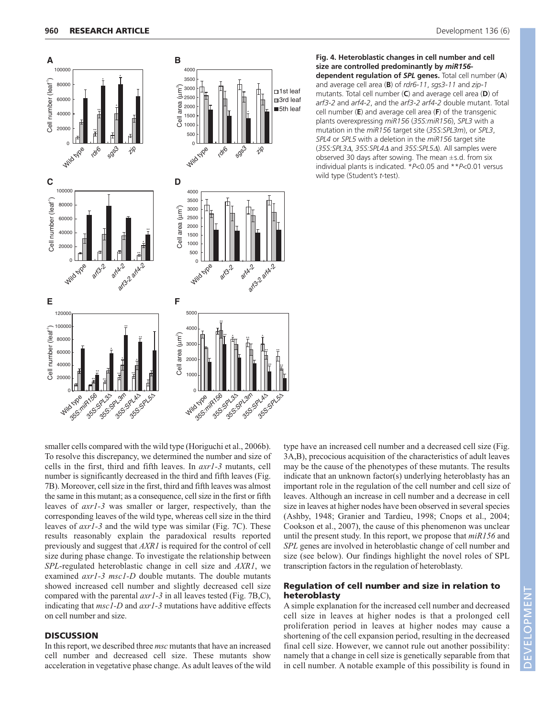



**Fig. 4. Heteroblastic changes in cell number and cell size are controlled predominantly by** *miR156* **dependent regulation of** *SPL* **genes.** Total cell number (**A**) and average cell area (**B**) of *rdr6-11*, *sgs3-11* and *zip-1* mutants. Total cell number (**C**) and average cell area (**D**) of *arf3-2* and *arf4-2*, and the *arf3-2 arf4-2* double mutant. Total cell number (**E**) and average cell area (**F**) of the transgenic plants overexpressing *miR156* (*35S:miR156*), *SPL3* with a mutation in the *miR156* target site (*35S:SPL3m*), or *SPL3*, *SPL4* or *SPL5* with a deletion in the *miR156* target site (*35S:SPL3*Δ, *35S:SPL4*<sup>Δ</sup> and *35S:SPL5*Δ). All samples were observed 30 days after sowing. The mean  $\pm$ s.d. from six individual plants is indicated. \**P*<0.05 and \*\**P*<0.01 versus wild type (Student's *t*-test).

smaller cells compared with the wild type (Horiguchi et al., 2006b). To resolve this discrepancy, we determined the number and size of cells in the first, third and fifth leaves. In *axr1-3* mutants, cell number is significantly decreased in the third and fifth leaves (Fig. 7B). Moreover, cell size in the first, third and fifth leaves was almost the same in this mutant; as a consequence, cell size in the first or fifth leaves of *axr1-3* was smaller or larger, respectively, than the corresponding leaves of the wild type, whereas cell size in the third leaves of *axr1-3* and the wild type was similar (Fig. 7C). These results reasonably explain the paradoxical results reported previously and suggest that *AXR1* is required for the control of cell size during phase change. To investigate the relationship between *SPL*-regulated heteroblastic change in cell size and *AXR1*, we examined *axr1-3 msc1-D* double mutants. The double mutants showed increased cell number and slightly decreased cell size compared with the parental *axr1-3* in all leaves tested (Fig. 7B,C), indicating that *msc1-D* and *axr1-3* mutations have additive effects on cell number and size.

# **DISCUSSION**

In this report, we described three *msc* mutants that have an increased cell number and decreased cell size. These mutants show acceleration in vegetative phase change. As adult leaves of the wild type have an increased cell number and a decreased cell size (Fig. 3A,B), precocious acquisition of the characteristics of adult leaves may be the cause of the phenotypes of these mutants. The results indicate that an unknown factor(s) underlying heteroblasty has an important role in the regulation of the cell number and cell size of leaves. Although an increase in cell number and a decrease in cell size in leaves at higher nodes have been observed in several species (Ashby, 1948; Granier and Tardieu, 1998; Cnops et al., 2004; Cookson et al., 2007), the cause of this phenomenon was unclear until the present study. In this report, we propose that *miR156* and *SPL* genes are involved in heteroblastic change of cell number and size (see below). Our findings highlight the novel roles of SPL transcription factors in the regulation of heteroblasty.

# **Regulation of cell number and size in relation to heteroblasty**

A simple explanation for the increased cell number and decreased cell size in leaves at higher nodes is that a prolonged cell proliferation period in leaves at higher nodes may cause a shortening of the cell expansion period, resulting in the decreased final cell size. However, we cannot rule out another possibility: namely that a change in cell size is genetically separable from that in cell number. A notable example of this possibility is found in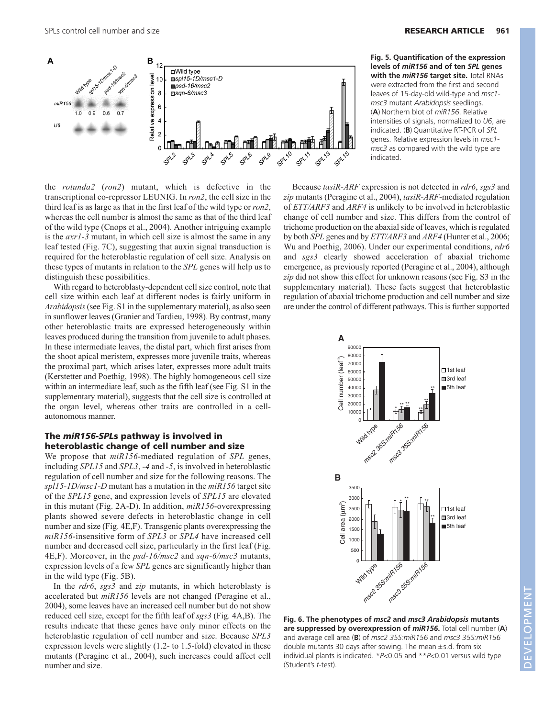

the *rotunda2* (*ron2*) mutant, which is defective in the transcriptional co-repressor LEUNIG. In *ron2*, the cell size in the third leaf is as large as that in the first leaf of the wild type or *ron2*, whereas the cell number is almost the same as that of the third leaf of the wild type (Cnops et al., 2004). Another intriguing example is the *axr1-3* mutant, in which cell size is almost the same in any leaf tested (Fig. 7C), suggesting that auxin signal transduction is required for the heteroblastic regulation of cell size. Analysis on these types of mutants in relation to the *SPL* genes will help us to distinguish these possibilities.

With regard to heteroblasty-dependent cell size control, note that cell size within each leaf at different nodes is fairly uniform in *Arabidopsis* (see Fig. S1 in the supplementary material), as also seen in sunflower leaves (Granier and Tardieu, 1998). By contrast, many other heteroblastic traits are expressed heterogeneously within leaves produced during the transition from juvenile to adult phases. In these intermediate leaves, the distal part, which first arises from the shoot apical meristem, expresses more juvenile traits, whereas the proximal part, which arises later, expresses more adult traits (Kerstetter and Poethig, 1998). The highly homogeneous cell size within an intermediate leaf, such as the fifth leaf (see Fig. S1 in the supplementary material), suggests that the cell size is controlled at the organ level, whereas other traits are controlled in a cellautonomous manner.

# **The** *miR156-SPL***s pathway is involved in heteroblastic change of cell number and size**

We propose that *miR156*-mediated regulation of *SPL* genes, including *SPL15* and *SPL3*, -*4* and -*5*, is involved in heteroblastic regulation of cell number and size for the following reasons. The *spl15-1D/msc1-D* mutant has a mutation in the *miR156* target site of the *SPL15* gene, and expression levels of *SPL15* are elevated in this mutant (Fig. 2A-D). In addition, *miR156*-overexpressing plants showed severe defects in heteroblastic change in cell number and size (Fig. 4E,F). Transgenic plants overexpressing the *miR156*-insensitive form of *SPL3* or *SPL4* have increased cell number and decreased cell size, particularly in the first leaf (Fig. 4E,F). Moreover, in the *psd-16/msc2* and *sqn-6/msc3* mutants, expression levels of a few *SPL* genes are significantly higher than in the wild type (Fig. 5B).

In the *rdr6*, *sgs3* and *zip* mutants, in which heteroblasty is accelerated but *miR156* levels are not changed (Peragine et al., 2004), some leaves have an increased cell number but do not show reduced cell size, except for the fifth leaf of *sgs3* (Fig. 4A,B). The results indicate that these genes have only minor effects on the heteroblastic regulation of cell number and size. Because *SPL3* expression levels were slightly (1.2- to 1.5-fold) elevated in these mutants (Peragine et al., 2004), such increases could affect cell number and size.

**Fig. 5. Quantification of the expression levels of** *miR156* **and of ten** *SPL* **genes with the** *miR156* **target site.** Total RNAs were extracted from the first and second leaves of 15-day-old wild-type and *msc1 msc3* mutant *Arabidopsis* seedlings. (**A**) Northern blot of *miR156*. Relative intensities of signals, normalized to *U6*, are indicated. (**B**) Quantitative RT-PCR of *SPL* genes. Relative expression levels in *msc1 msc3* as compared with the wild type are indicated.

Because *tasiR-ARF* expression is not detected in *rdr6*, *sgs3* and *zip* mutants (Peragine et al., 2004), *tasiR-ARF*-mediated regulation of *ETT/ARF3* and *ARF4* is unlikely to be involved in heteroblastic change of cell number and size. This differs from the control of trichome production on the abaxial side of leaves, which is regulated by both *SPL* genes and by *ETT/ARF3* and *ARF4* (Hunter et al., 2006; Wu and Poethig, 2006). Under our experimental conditions, *rdr6* and *sgs3* clearly showed acceleration of abaxial trichome emergence, as previously reported (Peragine et al., 2004), although *zip* did not show this effect for unknown reasons (see Fig. S3 in the supplementary material). These facts suggest that heteroblastic regulation of abaxial trichome production and cell number and size are under the control of different pathways. This is further supported



**Fig. 6. The phenotypes of** *msc2* **and** *msc3 Arabidopsis* **mutants are suppressed by overexpression of** *miR156***.** Total cell number (**A**) and average cell area (**B**) of *msc2 35S:miR156* and *msc3 35S:miR156* double mutants 30 days after sowing. The mean  $\pm$ s.d. from six individual plants is indicated. \**P*<0.05 and \*\**P*<0.01 versus wild type (Student's *t*-test).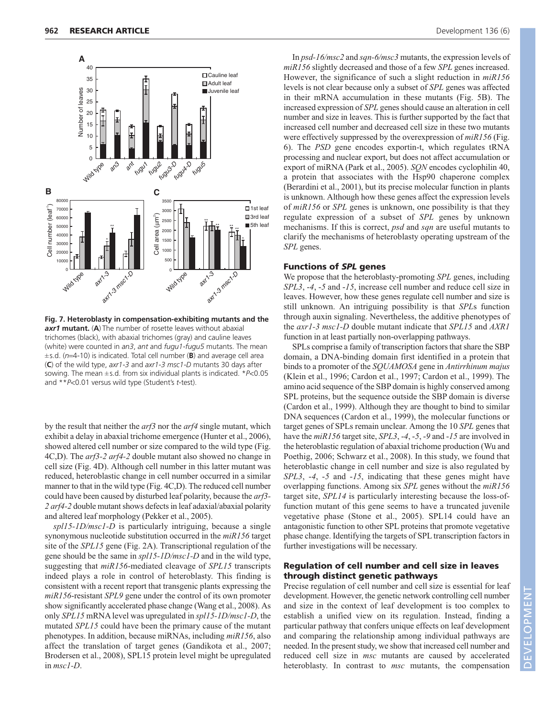

**Fig. 7. Heteroblasty in compensation-exhibiting mutants and the** *axr1* **mutant.** (**A**) The number of rosette leaves without abaxial trichomes (black), with abaxial trichomes (gray) and cauline leaves (white) were counted in *an3*, *ant* and *fugu1-fugu5* mutants. The mean ±s.d. (*n*=4-10) is indicated. Total cell number (**B**) and average cell area (**C**) of the wild type, *axr1-3* and *axr1-3 msc1-D* mutants 30 days after sowing. The mean ±s.d. from six individual plants is indicated. \**P*<0.05 and \*\**P*<0.01 versus wild type (Student's *t*-test).

by the result that neither the *arf3* nor the *arf4* single mutant, which exhibit a delay in abaxial trichome emergence (Hunter et al., 2006), showed altered cell number or size compared to the wild type (Fig. 4C,D). The *arf3-2 arf4-2* double mutant also showed no change in cell size (Fig. 4D). Although cell number in this latter mutant was reduced, heteroblastic change in cell number occurred in a similar manner to that in the wild type (Fig. 4C,D). The reduced cell number could have been caused by disturbed leaf polarity, because the *arf3- 2 arf4-2* double mutant shows defects in leaf adaxial/abaxial polarity and altered leaf morphology (Pekker et al., 2005).

*spl15-1D/msc1-D* is particularly intriguing, because a single synonymous nucleotide substitution occurred in the *miR156* target site of the *SPL15* gene (Fig. 2A). Transcriptional regulation of the gene should be the same in *spl15-1D/msc1-D* and in the wild type, suggesting that *miR156*-mediated cleavage of *SPL15* transcripts indeed plays a role in control of heteroblasty. This finding is consistent with a recent report that transgenic plants expressing the *miR156*-resistant *SPL9* gene under the control of its own promoter show significantly accelerated phase change (Wang et al., 2008). As only *SPL15* mRNA level was upregulated in *spl15-1D/msc1-D*, the mutated *SPL15* could have been the primary cause of the mutant phenotypes. In addition, because miRNAs, including *miR156*, also affect the translation of target genes (Gandikota et al., 2007; Brodersen et al., 2008), SPL15 protein level might be upregulated in *msc1-D*.

In *psd-16/msc2* and *sqn-6/msc3* mutants, the expression levels of *miR156* slightly decreased and those of a few *SPL* genes increased. However, the significance of such a slight reduction in *miR156* levels is not clear because only a subset of *SPL* genes was affected in their mRNA accumulation in these mutants (Fig. 5B). The increased expression of *SPL* genes should cause an alteration in cell number and size in leaves. This is further supported by the fact that increased cell number and decreased cell size in these two mutants were effectively suppressed by the overexpression of *miR156* (Fig. 6). The *PSD* gene encodes exportin-t, which regulates tRNA processing and nuclear export, but does not affect accumulation or export of miRNA (Park et al., 2005). *SQN* encodes cyclophilin 40, a protein that associates with the Hsp90 chaperone complex (Berardini et al., 2001), but its precise molecular function in plants is unknown. Although how these genes affect the expression levels of *miR156* or *SPL* genes is unknown, one possibility is that they regulate expression of a subset of *SPL* genes by unknown mechanisms. If this is correct, *psd* and *sqn* are useful mutants to clarify the mechanisms of heteroblasty operating upstream of the *SPL* genes.

#### **Functions of** *SPL* **genes**

We propose that the heteroblasty-promoting *SPL* genes, including *SPL3*, -*4*, -*5* and -*15*, increase cell number and reduce cell size in leaves. However, how these genes regulate cell number and size is still unknown. An intriguing possibility is that *SPL*s function through auxin signaling. Nevertheless, the additive phenotypes of the *axr1-3 msc1-D* double mutant indicate that *SPL15* and *AXR1* function in at least partially non-overlapping pathways.

SPLs comprise a family of transcription factors that share the SBP domain, a DNA-binding domain first identified in a protein that binds to a promoter of the *SQUAMOSA* gene in *Antirrhinum majus* (Klein et al., 1996; Cardon et al., 1997; Cardon et al., 1999). The amino acid sequence of the SBP domain is highly conserved among SPL proteins, but the sequence outside the SBP domain is diverse (Cardon et al., 1999). Although they are thought to bind to similar DNA sequences (Cardon et al., 1999), the molecular functions or target genes of SPLs remain unclear. Among the 10 *SPL* genes that have the *miR156* target site, *SPL3*, -*4*, -*5*, -*9* and -*15* are involved in the heteroblastic regulation of abaxial trichome production (Wu and Poethig, 2006; Schwarz et al., 2008). In this study, we found that heteroblastic change in cell number and size is also regulated by *SPL3*, -*4*, -*5* and -*15*, indicating that these genes might have overlapping functions. Among six *SPL* genes without the *miR156* target site, *SPL14* is particularly interesting because the loss-offunction mutant of this gene seems to have a truncated juvenile vegetative phase (Stone et al., 2005). SPL14 could have an antagonistic function to other SPL proteins that promote vegetative phase change. Identifying the targets of SPL transcription factors in further investigations will be necessary.

#### **Regulation of cell number and cell size in leaves through distinct genetic pathways**

Precise regulation of cell number and cell size is essential for leaf development. However, the genetic network controlling cell number and size in the context of leaf development is too complex to establish a unified view on its regulation. Instead, finding a particular pathway that confers unique effects on leaf development and comparing the relationship among individual pathways are needed. In the present study, we show that increased cell number and reduced cell size in *msc* mutants are caused by accelerated heteroblasty. In contrast to *msc* mutants, the compensation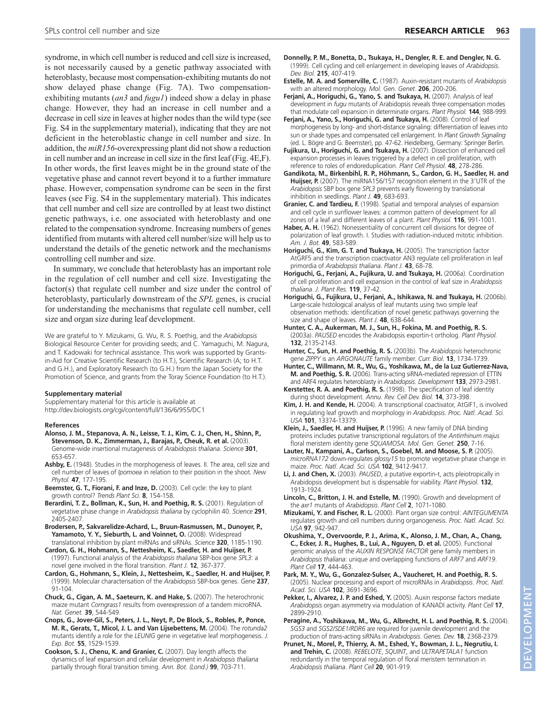syndrome, in which cell number is reduced and cell size is increased, is not necessarily caused by a genetic pathway associated with heteroblasty, because most compensation-exhibiting mutants do not show delayed phase change (Fig. 7A). Two compensationexhibiting mutants (*an3* and *fugu1*) indeed show a delay in phase change. However, they had an increase in cell number and a decrease in cell size in leaves at higher nodes than the wild type (see Fig. S4 in the supplementary material), indicating that they are not deficient in the heteroblastic change in cell number and size. In addition, the *miR156*-overexpressing plant did not show a reduction in cell number and an increase in cell size in the first leaf (Fig. 4E,F). In other words, the first leaves might be in the ground state of the vegetative phase and cannot revert beyond it to a further immature phase. However, compensation syndrome can be seen in the first leaves (see Fig. S4 in the supplementary material). This indicates that cell number and cell size are controlled by at least two distinct genetic pathways, i.e. one associated with heteroblasty and one related to the compensation syndrome. Increasing numbers of genes identified from mutants with altered cell number/size will help us to understand the details of the genetic network and the mechanisms controlling cell number and size.

In summary, we conclude that heteroblasty has an important role in the regulation of cell number and cell size. Investigating the factor(s) that regulate cell number and size under the control of heteroblasty, particularly downstream of the *SPL* genes, is crucial for understanding the mechanisms that regulate cell number, cell size and organ size during leaf development.

We are grateful to Y. Mizukami, G. Wu, R. S. Poethig, and the *Arabidopsis* Biological Resource Center for providing seeds; and C. Yamaguchi, M. Nagura, and T. Kadowaki for technical assistance. This work was supported by Grantsin-Aid for Creative Scientific Research (to H.T.), Scientific Research (A; to H.T. and G.H.), and Exploratory Research (to G.H.) from the Japan Society for the Promotion of Science, and grants from the Toray Science Foundation (to H.T.).

#### **Supplementary material**

Supplementary material for this article is available at http://dev.biologists.org/cgi/content/full/136/6/955/DC1

#### **References**

- **Alonso, J. M., Stepanova, A. N., Leisse, T. J., Kim, C. J., Chen, H., Shinn, P., Stevenson, D. K., Zimmerman, J., Barajas, P., Cheuk, R. et al.** (2003). Genome-wide insertional mutagenesis of *Arabidopsis thaliana*. *Science* **301**, 653-657.
- Ashby, E. (1948). Studies in the morphogenesis of leaves. II. The area, cell size and cell number of leaves of *Ipomoea* in relation to their position in the shoot. *New Phytol.* **47**, 177-195.
- **Beemster, G. T., Fiorani, F. and Inze, D.** (2003). Cell cycle: the key to plant growth control? *Trends Plant Sci.* **8**, 154-158.
- **Berardini, T. Z., Bollman, K., Sun, H. and Poethig, R. S.** (2001). Regulation of vegetative phase change in *Arabidopsis thaliana* by cyclophilin 40. *Science* **291**, 2405-2407.
- **Brodersen, P., Sakvarelidze-Achard, L., Bruun-Rasmussen, M., Dunoyer, P., Yamamoto, Y. Y., Sieburth, L. and Voinnet, O.** (2008). Widespread translational inhibition by plant miRNAs and siRNAs. *Science* **320**, 1185-1190.
- **Cardon, G. H., Hohmann, S., Nettesheim, K., Saedler, H. and Huijser, P.** (1997). Functional analysis of the *Arabidopsis thaliana* SBP-box gene *SPL3*: a novel gene involved in the floral transition. *Plant J.* **12**, 367-377.
- **Cardon, G., Hohmann, S., Klein, J., Nettesheim, K., Saedler, H. and Huijser, P.** (1999). Molecular characterisation of the *Arabidopsis* SBP-box genes. *Gene* **237**, 91-104.
- **Chuck, G., Cigan, A. M., Saeteurn, K. and Hake, S.** (2007). The heterochronic maize mutant *Corngrass1* results from overexpression of a tandem microRNA. *Nat. Genet.* **39**, 544-549.
- **Cnops, G., Jover-Gil, S., Peters, J. L., Neyt, P., De Block, S., Robles, P., Ponce, M. R., Gerats, T., Micol, J. L. and Van Lijsebettens, M.** (2004). The *rotunda2* mutants identify a role for the *LEUNIG* gene in vegetative leaf morphogenesis. *J. Exp. Bot.* **55**, 1529-1539.

**Cookson, S. J., Chenu, K. and Granier, C.** (2007). Day length affects the dynamics of leaf expansion and cellular development in *Arabidopsis thaliana* partially through floral transition timing. *Ann. Bot. (Lond.)* **99**, 703-711.

- **Donnelly, P. M., Bonetta, D., Tsukaya, H., Dengler, R. E. and Dengler, N. G.** (1999). Cell cycling and cell enlargement in developing leaves of *Arabidopsis*. *Dev. Biol.* **215**, 407-419.
- **Estelle, M. A. and Somerville, C.** (1987). Auxin-resistant mutants of *Arabidopsis* with an altered morphology. *Mol. Gen. Genet*. **206**, 200-206.
- **Ferjani, A., Horiguchi, G., Yano, S. and Tsukaya, H.** (2007). Analysis of leaf development in *fugu* mutants of Arabidopsis reveals three compensation modes that modulate cell expansion in determinate organs. *Plant Physiol.* **144**, 988-999.
- **Ferjani, A., Yano, S., Horiguchi, G. and Tsukaya, H.** (2008). Control of leaf morphogenesis by long- and short-distance signaling: differentiation of leaves into sun or shade types and compensated cell enlargement. In *Plant Growth Signaling* (ed. L. Bögre and G. Beemster), pp. 47-62. Heidelberg, Germany: Springer Berlin.
- **Fujikura, U., Horiguchi, G. and Tsukaya, H.** (2007). Dissection of enhanced cell expansion processes in leaves triggered by a defect in cell proliferation, with reference to roles of endoreduplication. *Plant Cell Physiol.* **48**, 278-286.
- **Gandikota, M., Birkenbihl, R. P., Höhmann, S., Cardon, G. H., Saedler, H. and Huijser, P.** (2007). The miRNA156/157 recognition element in the 3'UTR of the *Arabidopsis* SBP box gene *SPL3* prevents early flowering by translational inhibition in seedlings. *Plant J.* **49**, 683-693.
- **Granier, C. and Tardieu, F.** (1998). Spatial and temporal analyses of expansion and cell cycle in sunflower leaves: a common pattern of development for all zones of a leaf and different leaves of a plant. *Plant Physiol.* **116**, 991-1001.
- Haber, A. H. (1962). Nonessentiality of concurrent cell divisions for degree of polarization of leaf growth. I. Studies with radiation-induced mitotic inhibition. *Am. J. Bot.* **49**, 583-589.
- **Horiguchi, G., Kim, G. T. and Tsukaya, H.** (2005). The transcription factor AtGRF5 and the transcription coactivator AN3 regulate cell proliferation in leaf primordia of *Arabidopsis thaliana*. *Plant J.* **43**, 68-78.
- **Horiguchi, G., Ferjani, A., Fujikura, U. and Tsukaya, H.** (2006a). Coordination of cell proliferation and cell expansion in the control of leaf size in *Arabidopsis thaliana*. *J. Plant Res.* **119**, 37-42.
- **Horiguchi, G., Fujikura, U., Ferjani, A., Ishikawa, N. and Tsukaya, H.** (2006b). Large-scale histological analysis of leaf mutants using two simple leaf observation methods: identification of novel genetic pathways governing the size and shape of leaves. *Plant J.* **48**, 638-644.
- **Hunter, C. A., Aukerman, M. J., Sun, H., Fokina, M. and Poethig, R. S.** (2003a). *PAUSED* encodes the Arabidopsis exportin-t ortholog. *Plant Physiol.* **132**, 2135-2143.
- **Hunter, C., Sun, H. and Poethig, R. S.** (2003b). The *Arabidopsis* heterochronic gene *ZIPPY* is an *ARGONAUTE* family member. *Curr. Biol.* **13**, 1734-1739.
- **Hunter, C., Willmann, M. R., Wu, G., Yoshikawa, M., de la Luz Gutierrez-Nava, M. and Poethig, S. R.** (2006). Trans-acting siRNA-mediated repression of ETTIN and ARF4 regulates heteroblasty in *Arabidopsis*. *Development* **133**, 2973-2981.
- **Kerstetter, R. A. and Poethig, R. S.** (1998). The specification of leaf identity during shoot development. *Annu. Rev. Cell Dev. Biol.* **14**, 373-398.
- **Kim, J. H. and Kende, H.** (2004). A transcriptional coactivator, AtGIF1, is involved in regulating leaf growth and morphology in *Arabidopsis*. *Proc. Natl. Acad. Sci. USA* **101**, 13374-13379.
- **Klein, J., Saedler, H. and Huijser, P.** (1996). A new family of DNA binding proteins includes putative transcriptional regulators of the *Antirrhinum majus* floral meristem identity gene *SQUAMOSA*. *Mol. Gen. Genet.* **250**, 7-16.
- **Lauter, N., Kampani, A., Carlson, S., Goebel, M. and Moose, S. P.** (2005). *microRNA172* down-regulates *glossy15* to promote vegetative phase change in maize. *Proc. Natl. Acad. Sci. USA* **102**, 9412-9417.
- **Li, J. and Chen, X.** (2003). *PAUSED*, a putative exportin-t, acts pleiotropically in Arabidopsis development but is dispensable for viability. *Plant Physiol.* **132**, 1913-1924.
- **Lincoln, C., Britton, J. H. and Estelle, M.** (1990). Growth and development of the *axr1* mutants of *Arabidopsis*. *Plant Cell* **2**, 1071-1080.
- **Mizukami, Y. and Fischer, R. L.** (2000). Plant organ size control: *AINTEGUMENTA* regulates growth and cell numbers during organogenesis. *Proc. Natl. Acad. Sci. USA* **97**, 942-947.
- **Okushima, Y., Overvoorde, P. J., Arima, K., Alonso, J. M., Chan, A., Chang, C., Ecker, J. R., Hughes, B., Lui, A., Nguyen, D. et al.** (2005). Functional genomic analysis of the *AUXIN RESPONSE FACTOR* gene family members in *Arabidopsis thaliana*: unique and overlapping functions of *ARF7* and *ARF19*. *Plant Cell* **17**, 444-463.
- **Park, M. Y., Wu, G., Gonzalez-Sulser, A., Vaucheret, H. and Poethig, R. S.** (2005). Nuclear processing and export of microRNAs in *Arabidopsis*. *Proc. Natl. Acad. Sci. USA* **102**, 3691-3696.
- Pekker, I., Alvarez, J. P. and Eshed, Y. (2005). Auxin response factors mediate *Arabidopsis* organ asymmetry via modulation of KANADI activity. *Plant Cell* **17**, 2899-2910.
- **Peragine, A., Yoshikawa, M., Wu, G., Albrecht, H. L. and Poethig, R. S.** (2004). *SGS3* and *SGS2/SDE1/RDR6* are required for juvenile development and the production of *trans*-acting siRNAs in *Arabidopsis*. *Genes. Dev.* **18**, 2368-2379.
- **Prunet, N., Morel, P., Thierry, A. M., Eshed, Y., Bowman, J. L., Negrutiu, I. and Trehin, C.** (2008). *REBELOTE*, *SQUINT*, and *ULTRAPETALA1* function redundantly in the temporal regulation of floral meristem termination in *Arabidopsis thaliana*. *Plant Cell* **20**, 901-919.